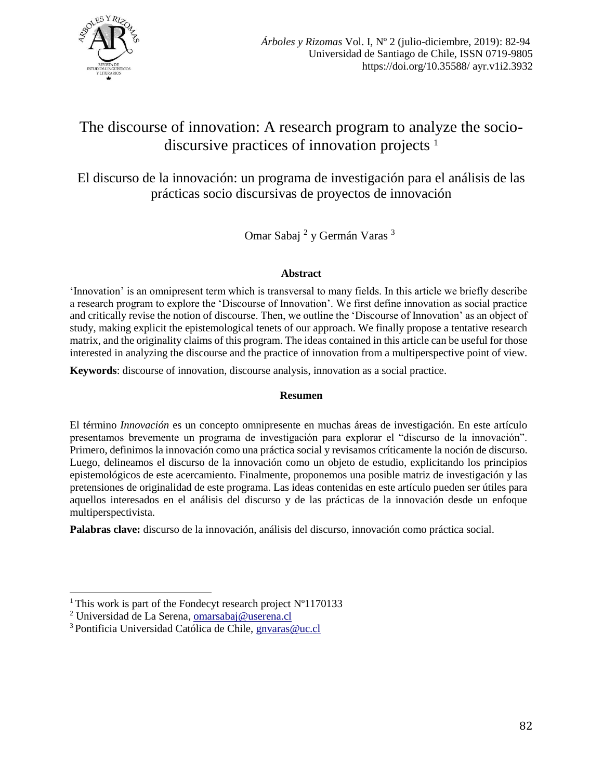

# The discourse of innovation: A research program to analyze the sociodiscursive practices of innovation projects <sup>1</sup>

El discurso de la innovación: un programa de investigación para el análisis de las prácticas socio discursivas de proyectos de innovación

Omar Sabaj<sup>2</sup> y Germán Varas<sup>3</sup>

### **Abstract**

'Innovation' is an omnipresent term which is transversal to many fields. In this article we briefly describe a research program to explore the 'Discourse of Innovation'. We first define innovation as social practice and critically revise the notion of discourse. Then, we outline the 'Discourse of Innovation' as an object of study, making explicit the epistemological tenets of our approach. We finally propose a tentative research matrix, and the originality claims of this program. The ideas contained in this article can be useful for those interested in analyzing the discourse and the practice of innovation from a multiperspective point of view.

**Keywords**: discourse of innovation, discourse analysis, innovation as a social practice.

#### **Resumen**

El término *Innovación* es un concepto omnipresente en muchas áreas de investigación. En este artículo presentamos brevemente un programa de investigación para explorar el "discurso de la innovación". Primero, definimos la innovación como una práctica social y revisamos críticamente la noción de discurso. Luego, delineamos el discurso de la innovación como un objeto de estudio, explicitando los principios epistemológicos de este acercamiento. Finalmente, proponemos una posible matriz de investigación y las pretensiones de originalidad de este programa. Las ideas contenidas en este artículo pueden ser útiles para aquellos interesados en el análisis del discurso y de las prácticas de la innovación desde un enfoque multiperspectivista.

**Palabras clave:** discurso de la innovación, análisis del discurso, innovación como práctica social.

 $\overline{\phantom{a}}$ 

<sup>&</sup>lt;sup>1</sup> This work is part of the Fondecyt research project  $N^{\circ}1170133$ 

<sup>&</sup>lt;sup>2</sup> Universidad de La Serena, [omarsabaj@userena.cl](mailto:omarsabaj@userena.cl)

<sup>3</sup> Pontificia Universidad Católica de Chile, [gnvaras@uc.cl](mailto:gnvaras@uc.cl)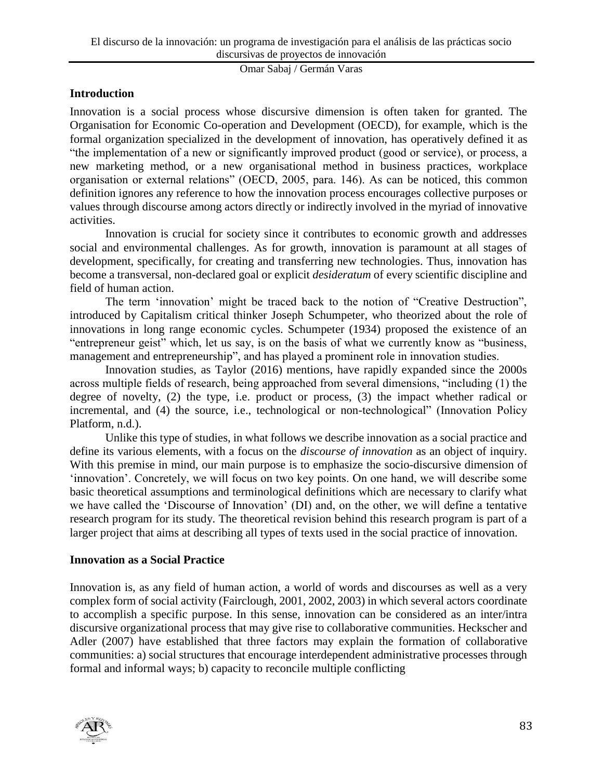### **Introduction**

Innovation is a social process whose discursive dimension is often taken for granted. The Organisation for Economic Co-operation and Development (OECD), for example, which is the formal organization specialized in the development of innovation, has operatively defined it as "the implementation of a new or significantly improved product (good or service), or process, a new marketing method, or a new organisational method in business practices, workplace organisation or external relations" (OECD, 2005, para. 146). As can be noticed, this common definition ignores any reference to how the innovation process encourages collective purposes or values through discourse among actors directly or indirectly involved in the myriad of innovative activities.

Innovation is crucial for society since it contributes to economic growth and addresses social and environmental challenges. As for growth, innovation is paramount at all stages of development, specifically, for creating and transferring new technologies. Thus, innovation has become a transversal, non-declared goal or explicit *desideratum* of every scientific discipline and field of human action.

The term 'innovation' might be traced back to the notion of "Creative Destruction", introduced by Capitalism critical thinker Joseph Schumpeter, who theorized about the role of innovations in long range economic cycles. Schumpeter (1934) proposed the existence of an "entrepreneur geist" which, let us say, is on the basis of what we currently know as "business, management and entrepreneurship", and has played a prominent role in innovation studies.

Innovation studies, as Taylor (2016) mentions, have rapidly expanded since the 2000s across multiple fields of research, being approached from several dimensions, "including (1) the degree of novelty, (2) the type, i.e. product or process, (3) the impact whether radical or incremental, and (4) the source, i.e., technological or non-technological" (Innovation Policy Platform, n.d.).

Unlike this type of studies, in what follows we describe innovation as a social practice and define its various elements, with a focus on the *discourse of innovation* as an object of inquiry. With this premise in mind, our main purpose is to emphasize the socio-discursive dimension of 'innovation'. Concretely, we will focus on two key points. On one hand, we will describe some basic theoretical assumptions and terminological definitions which are necessary to clarify what we have called the 'Discourse of Innovation' (DI) and, on the other, we will define a tentative research program for its study. The theoretical revision behind this research program is part of a larger project that aims at describing all types of texts used in the social practice of innovation.

## **Innovation as a Social Practice**

Innovation is, as any field of human action, a world of words and discourses as well as a very complex form of social activity (Fairclough, 2001, 2002, 2003) in which several actors coordinate to accomplish a specific purpose. In this sense, innovation can be considered as an inter/intra discursive organizational process that may give rise to collaborative communities. Heckscher and Adler (2007) have established that three factors may explain the formation of collaborative communities: a) social structures that encourage interdependent administrative processes through formal and informal ways; b) capacity to reconcile multiple conflicting

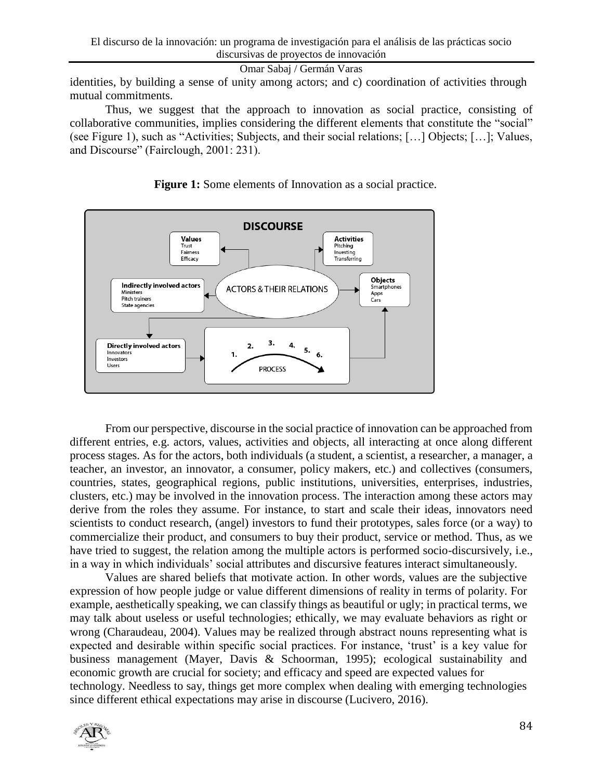identities, by building a sense of unity among actors; and c) coordination of activities through mutual commitments.

Thus, we suggest that the approach to innovation as social practice, consisting of collaborative communities, implies considering the different elements that constitute the "social" (see Figure 1), such as "Activities; Subjects, and their social relations; […] Objects; […]; Values, and Discourse" (Fairclough, 2001: 231).

**Figure 1:** Some elements of Innovation as a social practice.



From our perspective, discourse in the social practice of innovation can be approached from different entries, e.g. actors, values, activities and objects, all interacting at once along different process stages. As for the actors, both individuals (a student, a scientist, a researcher, a manager, a teacher, an investor, an innovator, a consumer, policy makers, etc.) and collectives (consumers, countries, states, geographical regions, public institutions, universities, enterprises, industries, clusters, etc.) may be involved in the innovation process. The interaction among these actors may derive from the roles they assume. For instance, to start and scale their ideas, innovators need scientists to conduct research, (angel) investors to fund their prototypes, sales force (or a way) to commercialize their product, and consumers to buy their product, service or method. Thus, as we have tried to suggest, the relation among the multiple actors is performed socio-discursively, i.e., in a way in which individuals' social attributes and discursive features interact simultaneously.

Values are shared beliefs that motivate action. In other words, values are the subjective expression of how people judge or value different dimensions of reality in terms of polarity. For example, aesthetically speaking, we can classify things as beautiful or ugly; in practical terms, we may talk about useless or useful technologies; ethically, we may evaluate behaviors as right or wrong (Charaudeau, 2004). Values may be realized through abstract nouns representing what is expected and desirable within specific social practices. For instance, 'trust' is a key value for business management (Mayer, Davis & Schoorman, 1995); ecological sustainability and economic growth are crucial for society; and efficacy and speed are expected values for technology. Needless to say, things get more complex when dealing with emerging technologies since different ethical expectations may arise in discourse (Lucivero, 2016).

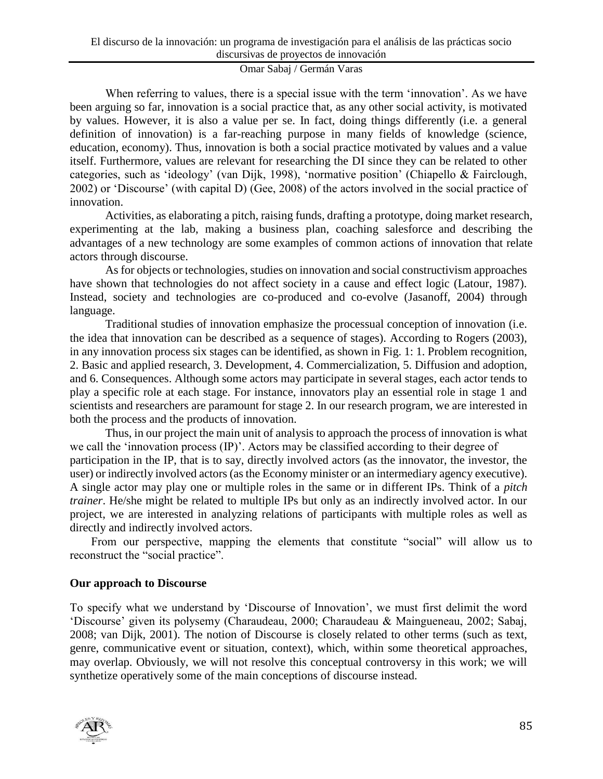When referring to values, there is a special issue with the term 'innovation'. As we have been arguing so far, innovation is a social practice that, as any other social activity, is motivated by values. However, it is also a value per se. In fact, doing things differently (i.e. a general definition of innovation) is a far-reaching purpose in many fields of knowledge (science, education, economy). Thus, innovation is both a social practice motivated by values and a value itself. Furthermore, values are relevant for researching the DI since they can be related to other categories, such as 'ideology' (van Dijk, 1998), 'normative position' (Chiapello & Fairclough, 2002) or 'Discourse' (with capital D) (Gee, 2008) of the actors involved in the social practice of innovation.

Activities, as elaborating a pitch, raising funds, drafting a prototype, doing market research, experimenting at the lab, making a business plan, coaching salesforce and describing the advantages of a new technology are some examples of common actions of innovation that relate actors through discourse.

As for objects or technologies, studies on innovation and social constructivism approaches have shown that technologies do not affect society in a cause and effect logic (Latour, 1987). Instead, society and technologies are co-produced and co-evolve (Jasanoff, 2004) through language.

Traditional studies of innovation emphasize the processual conception of innovation (i.e. the idea that innovation can be described as a sequence of stages). According to Rogers (2003), in any innovation process six stages can be identified, as shown in Fig. 1: 1. Problem recognition, 2. Basic and applied research, 3. Development, 4. Commercialization, 5. Diffusion and adoption, and 6. Consequences. Although some actors may participate in several stages, each actor tends to play a specific role at each stage. For instance, innovators play an essential role in stage 1 and scientists and researchers are paramount for stage 2. In our research program, we are interested in both the process and the products of innovation.

Thus, in our project the main unit of analysis to approach the process of innovation is what we call the 'innovation process (IP)'. Actors may be classified according to their degree of participation in the IP, that is to say, directly involved actors (as the innovator, the investor, the user) or indirectly involved actors (as the Economy minister or an intermediary agency executive). A single actor may play one or multiple roles in the same or in different IPs. Think of a *pitch trainer*. He/she might be related to multiple IPs but only as an indirectly involved actor. In our project, we are interested in analyzing relations of participants with multiple roles as well as directly and indirectly involved actors.

From our perspective, mapping the elements that constitute "social" will allow us to reconstruct the "social practice".

## **Our approach to Discourse**

To specify what we understand by 'Discourse of Innovation', we must first delimit the word 'Discourse' given its polysemy (Charaudeau, 2000; Charaudeau & Maingueneau, 2002; Sabaj, 2008; van Dijk, 2001). The notion of Discourse is closely related to other terms (such as text, genre, communicative event or situation, context), which, within some theoretical approaches, may overlap. Obviously, we will not resolve this conceptual controversy in this work; we will synthetize operatively some of the main conceptions of discourse instead.

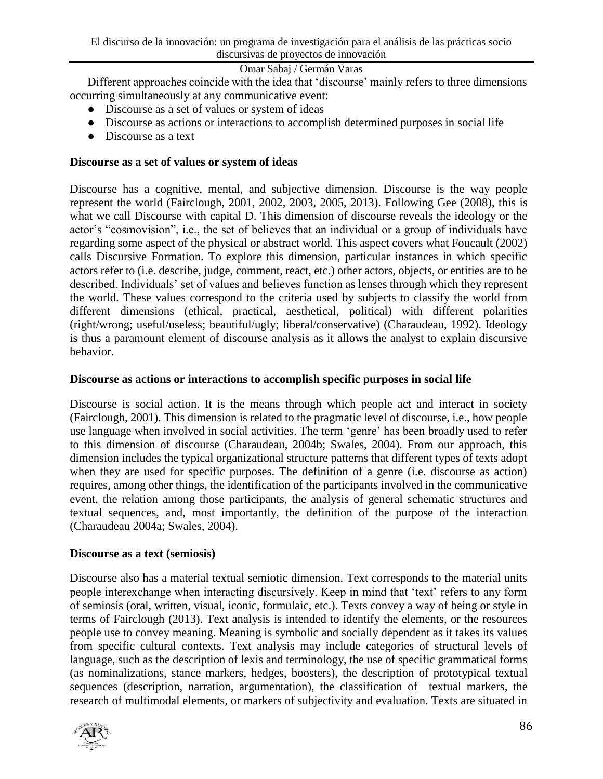Different approaches coincide with the idea that 'discourse' mainly refers to three dimensions occurring simultaneously at any communicative event:

- Discourse as a set of values or system of ideas
- Discourse as actions or interactions to accomplish determined purposes in social life
- Discourse as a text

# **Discourse as a set of values or system of ideas**

Discourse has a cognitive, mental, and subjective dimension. Discourse is the way people represent the world (Fairclough, 2001, 2002, 2003, 2005, 2013). Following Gee (2008), this is what we call Discourse with capital D. This dimension of discourse reveals the ideology or the actor's "cosmovision", i.e., the set of believes that an individual or a group of individuals have regarding some aspect of the physical or abstract world. This aspect covers what Foucault (2002) calls Discursive Formation. To explore this dimension, particular instances in which specific actors refer to (i.e. describe, judge, comment, react, etc.) other actors, objects, or entities are to be described. Individuals' set of values and believes function as lenses through which they represent the world. These values correspond to the criteria used by subjects to classify the world from different dimensions (ethical, practical, aesthetical, political) with different polarities (right/wrong; useful/useless; beautiful/ugly; liberal/conservative) (Charaudeau, 1992). Ideology is thus a paramount element of discourse analysis as it allows the analyst to explain discursive behavior.

## **Discourse as actions or interactions to accomplish specific purposes in social life**

Discourse is social action. It is the means through which people act and interact in society (Fairclough, 2001). This dimension is related to the pragmatic level of discourse, i.e., how people use language when involved in social activities. The term 'genre' has been broadly used to refer to this dimension of discourse (Charaudeau, 2004b; Swales, 2004). From our approach, this dimension includes the typical organizational structure patterns that different types of texts adopt when they are used for specific purposes. The definition of a genre (i.e. discourse as action) requires, among other things, the identification of the participants involved in the communicative event, the relation among those participants, the analysis of general schematic structures and textual sequences, and, most importantly, the definition of the purpose of the interaction (Charaudeau 2004a; Swales, 2004).

#### **Discourse as a text (semiosis)**

Discourse also has a material textual semiotic dimension. Text corresponds to the material units people interexchange when interacting discursively. Keep in mind that 'text' refers to any form of semiosis (oral, written, visual, iconic, formulaic, etc.). Texts convey a way of being or style in terms of Fairclough (2013). Text analysis is intended to identify the elements, or the resources people use to convey meaning. Meaning is symbolic and socially dependent as it takes its values from specific cultural contexts. Text analysis may include categories of structural levels of language, such as the description of lexis and terminology, the use of specific grammatical forms (as nominalizations, stance markers, hedges, boosters), the description of prototypical textual sequences (description, narration, argumentation), the classification of textual markers, the research of multimodal elements, or markers of subjectivity and evaluation. Texts are situated in

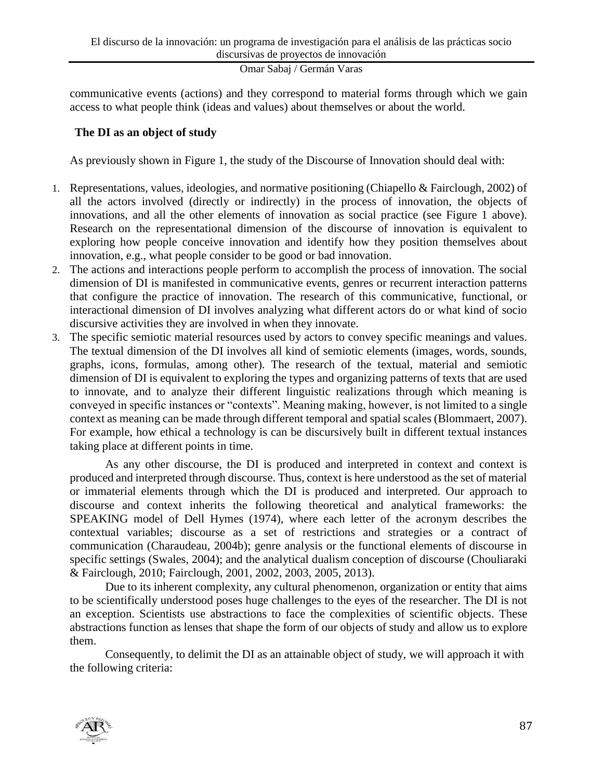communicative events (actions) and they correspond to material forms through which we gain access to what people think (ideas and values) about themselves or about the world.

# **The DI as an object of study**

As previously shown in Figure 1, the study of the Discourse of Innovation should deal with:

- 1. Representations, values, ideologies, and normative positioning (Chiapello & Fairclough, 2002) of all the actors involved (directly or indirectly) in the process of innovation, the objects of innovations, and all the other elements of innovation as social practice (see Figure 1 above). Research on the representational dimension of the discourse of innovation is equivalent to exploring how people conceive innovation and identify how they position themselves about innovation, e.g., what people consider to be good or bad innovation.
- 2. The actions and interactions people perform to accomplish the process of innovation. The social dimension of DI is manifested in communicative events, genres or recurrent interaction patterns that configure the practice of innovation. The research of this communicative, functional, or interactional dimension of DI involves analyzing what different actors do or what kind of socio discursive activities they are involved in when they innovate.
- 3. The specific semiotic material resources used by actors to convey specific meanings and values. The textual dimension of the DI involves all kind of semiotic elements (images, words, sounds, graphs, icons, formulas, among other). The research of the textual, material and semiotic dimension of DI is equivalent to exploring the types and organizing patterns of texts that are used to innovate, and to analyze their different linguistic realizations through which meaning is conveyed in specific instances or "contexts". Meaning making, however, is not limited to a single context as meaning can be made through different temporal and spatial scales (Blommaert, 2007). For example, how ethical a technology is can be discursively built in different textual instances taking place at different points in time.

As any other discourse, the DI is produced and interpreted in context and context is produced and interpreted through discourse. Thus, context is here understood as the set of material or immaterial elements through which the DI is produced and interpreted. Our approach to discourse and context inherits the following theoretical and analytical frameworks: the SPEAKING model of Dell Hymes (1974), where each letter of the acronym describes the contextual variables; discourse as a set of restrictions and strategies or a contract of communication (Charaudeau, 2004b); genre analysis or the functional elements of discourse in specific settings (Swales, 2004); and the analytical dualism conception of discourse (Chouliaraki & Fairclough, 2010; Fairclough, 2001, 2002, 2003, 2005, 2013).

Due to its inherent complexity, any cultural phenomenon, organization or entity that aims to be scientifically understood poses huge challenges to the eyes of the researcher. The DI is not an exception. Scientists use abstractions to face the complexities of scientific objects. These abstractions function as lenses that shape the form of our objects of study and allow us to explore them.

Consequently, to delimit the DI as an attainable object of study, we will approach it with the following criteria:

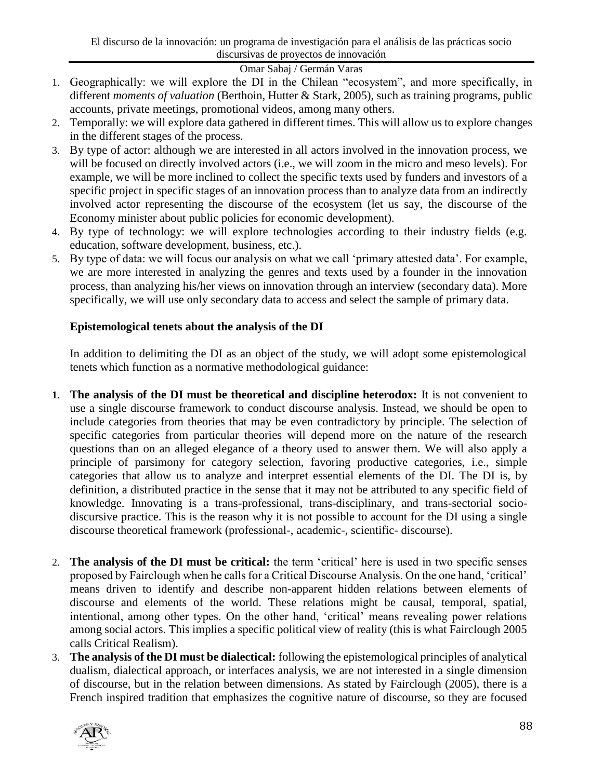El discurso de la innovación: un programa de investigación para el análisis de las prácticas socio discursivas de proyectos de innovación

# Omar Sabaj / Germán Varas

- 1. Geographically: we will explore the DI in the Chilean "ecosystem", and more specifically, in different *moments of valuation* (Berthoin, Hutter & Stark, 2005), such as training programs, public accounts, private meetings, promotional videos, among many others.
- 2. Temporally: we will explore data gathered in different times. This will allow us to explore changes in the different stages of the process.
- 3. By type of actor: although we are interested in all actors involved in the innovation process, we will be focused on directly involved actors (i.e., we will zoom in the micro and meso levels). For example, we will be more inclined to collect the specific texts used by funders and investors of a specific project in specific stages of an innovation process than to analyze data from an indirectly involved actor representing the discourse of the ecosystem (let us say, the discourse of the Economy minister about public policies for economic development).
- 4. By type of technology: we will explore technologies according to their industry fields (e.g. education, software development, business, etc.).
- 5. By type of data: we will focus our analysis on what we call 'primary attested data'. For example, we are more interested in analyzing the genres and texts used by a founder in the innovation process, than analyzing his/her views on innovation through an interview (secondary data). More specifically, we will use only secondary data to access and select the sample of primary data.

## **Epistemological tenets about the analysis of the DI**

In addition to delimiting the DI as an object of the study, we will adopt some epistemological tenets which function as a normative methodological guidance:

- **1. The analysis of the DI must be theoretical and discipline heterodox:** It is not convenient to use a single discourse framework to conduct discourse analysis. Instead, we should be open to include categories from theories that may be even contradictory by principle. The selection of specific categories from particular theories will depend more on the nature of the research questions than on an alleged elegance of a theory used to answer them. We will also apply a principle of parsimony for category selection, favoring productive categories, i.e., simple categories that allow us to analyze and interpret essential elements of the DI. The DI is, by definition, a distributed practice in the sense that it may not be attributed to any specific field of knowledge. Innovating is a trans-professional, trans-disciplinary, and trans-sectorial sociodiscursive practice. This is the reason why it is not possible to account for the DI using a single discourse theoretical framework (professional-, academic-, scientific- discourse).
- 2. **The analysis of the DI must be critical:** the term 'critical' here is used in two specific senses proposed by Fairclough when he calls for a Critical Discourse Analysis. On the one hand, 'critical' means driven to identify and describe non-apparent hidden relations between elements of discourse and elements of the world. These relations might be causal, temporal, spatial, intentional, among other types. On the other hand, 'critical' means revealing power relations among social actors. This implies a specific political view of reality (this is what Fairclough 2005 calls Critical Realism).
- 3. **The analysis of the DI must be dialectical:** following the epistemological principles of analytical dualism, dialectical approach, or interfaces analysis, we are not interested in a single dimension of discourse, but in the relation between dimensions. As stated by Fairclough (2005), there is a French inspired tradition that emphasizes the cognitive nature of discourse, so they are focused

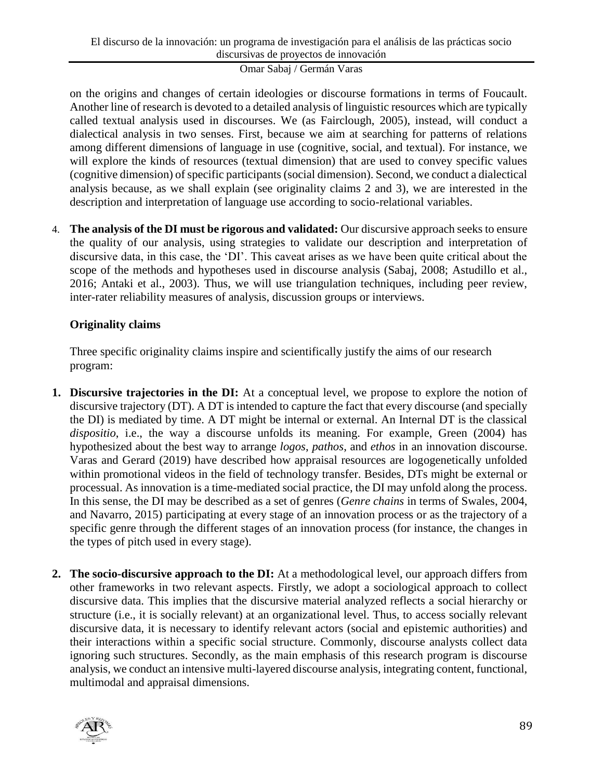on the origins and changes of certain ideologies or discourse formations in terms of Foucault. Another line of research is devoted to a detailed analysis of linguistic resources which are typically called textual analysis used in discourses. We (as Fairclough, 2005), instead, will conduct a dialectical analysis in two senses. First, because we aim at searching for patterns of relations among different dimensions of language in use (cognitive, social, and textual). For instance, we will explore the kinds of resources (textual dimension) that are used to convey specific values (cognitive dimension) of specific participants (social dimension). Second, we conduct a dialectical analysis because, as we shall explain (see originality claims 2 and 3), we are interested in the description and interpretation of language use according to socio-relational variables.

4. **The analysis of the DI must be rigorous and validated:** Our discursive approach seeks to ensure the quality of our analysis, using strategies to validate our description and interpretation of discursive data, in this case, the 'DI'. This caveat arises as we have been quite critical about the scope of the methods and hypotheses used in discourse analysis (Sabaj, 2008; Astudillo et al., 2016; Antaki et al., 2003). Thus, we will use triangulation techniques, including peer review, inter-rater reliability measures of analysis, discussion groups or interviews.

# **Originality claims**

Three specific originality claims inspire and scientifically justify the aims of our research program:

- **1. Discursive trajectories in the DI:** At a conceptual level, we propose to explore the notion of discursive trajectory (DT). A DT is intended to capture the fact that every discourse (and specially the DI) is mediated by time. A DT might be internal or external. An Internal DT is the classical dispositio, i.e., the way a discourse unfolds its meaning. For example, Green (2004) has hypothesized about the best way to arrange *logos*, *pathos*, and *ethos* in an innovation discourse. Varas and Gerard (2019) have described how appraisal resources are logogenetically unfolded within promotional videos in the field of technology transfer. Besides, DTs might be external or processual. As innovation is a time-mediated social practice, the DI may unfold along the process. In this sense, the DI may be described as a set of genres (*Genre chains* in terms of Swales, 2004, and Navarro, 2015) participating at every stage of an innovation process or as the trajectory of a specific genre through the different stages of an innovation process (for instance, the changes in the types of pitch used in every stage).
- **2. The socio-discursive approach to the DI:** At a methodological level, our approach differs from other frameworks in two relevant aspects. Firstly, we adopt a sociological approach to collect discursive data. This implies that the discursive material analyzed reflects a social hierarchy or structure (i.e., it is socially relevant) at an organizational level. Thus, to access socially relevant discursive data, it is necessary to identify relevant actors (social and epistemic authorities) and their interactions within a specific social structure. Commonly, discourse analysts collect data ignoring such structures. Secondly, as the main emphasis of this research program is discourse analysis, we conduct an intensive multi-layered discourse analysis, integrating content, functional, multimodal and appraisal dimensions.

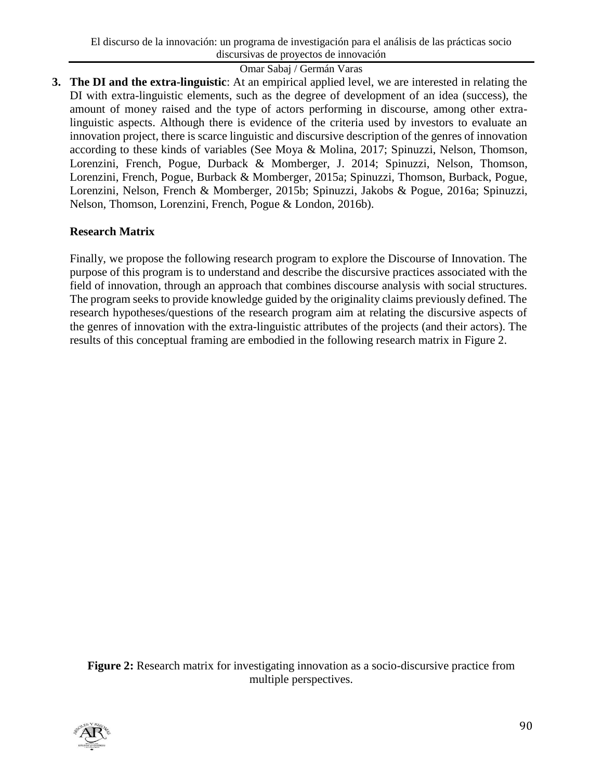**3. The DI and the extra-linguistic**: At an empirical applied level, we are interested in relating the DI with extra-linguistic elements, such as the degree of development of an idea (success), the amount of money raised and the type of actors performing in discourse, among other extralinguistic aspects. Although there is evidence of the criteria used by investors to evaluate an innovation project, there is scarce linguistic and discursive description of the genres of innovation according to these kinds of variables (See Moya & Molina, 2017; Spinuzzi, Nelson, Thomson, Lorenzini, French, Pogue, Durback & Momberger, J. 2014; Spinuzzi, Nelson, Thomson, Lorenzini, French, Pogue, Burback & Momberger, 2015a; Spinuzzi, Thomson, Burback, Pogue, Lorenzini, Nelson, French & Momberger, 2015b; Spinuzzi, Jakobs & Pogue, 2016a; Spinuzzi, Nelson, Thomson, Lorenzini, French, Pogue & London, 2016b).

### **Research Matrix**

Finally, we propose the following research program to explore the Discourse of Innovation. The purpose of this program is to understand and describe the discursive practices associated with the field of innovation, through an approach that combines discourse analysis with social structures. The program seeks to provide knowledge guided by the originality claims previously defined. The research hypotheses/questions of the research program aim at relating the discursive aspects of the genres of innovation with the extra-linguistic attributes of the projects (and their actors). The results of this conceptual framing are embodied in the following research matrix in Figure 2.

**Figure 2:** Research matrix for investigating innovation as a socio-discursive practice from multiple perspectives.

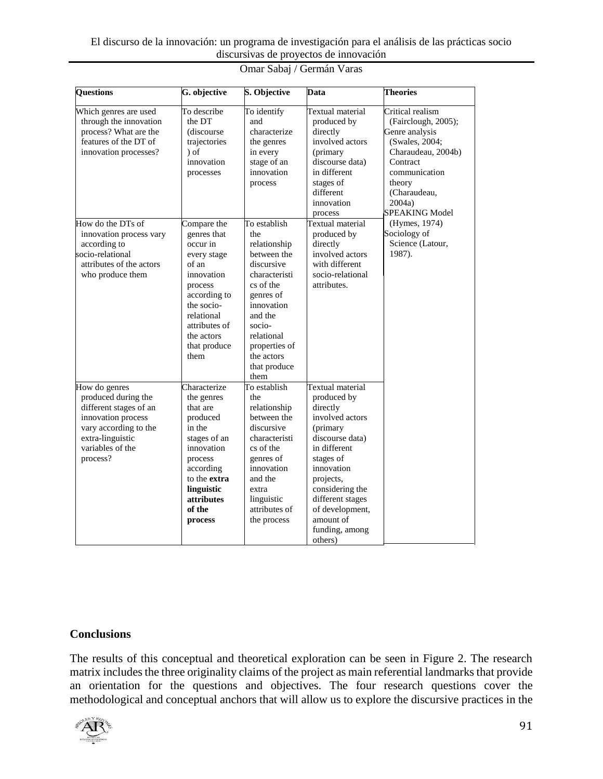#### El discurso de la innovación: un programa de investigación para el análisis de las prácticas socio discursivas de proyectos de innovación

| Questions                                                                                                                                                         | G. objective                                                                                                                                                                               | S. Objective                                                                                                                                                                                                        | Data                                                                                                                                                                                                                                                      | <b>Theories</b>                                                                                                                                                                                                                                     |
|-------------------------------------------------------------------------------------------------------------------------------------------------------------------|--------------------------------------------------------------------------------------------------------------------------------------------------------------------------------------------|---------------------------------------------------------------------------------------------------------------------------------------------------------------------------------------------------------------------|-----------------------------------------------------------------------------------------------------------------------------------------------------------------------------------------------------------------------------------------------------------|-----------------------------------------------------------------------------------------------------------------------------------------------------------------------------------------------------------------------------------------------------|
| Which genres are used<br>through the innovation<br>process? What are the<br>features of the DT of<br>innovation processes?                                        | To describe<br>the DT<br>(discourse)<br>trajectories<br>$\int$ of<br>innovation<br>processes                                                                                               | To identify<br>and<br>characterize<br>the genres<br>in every<br>stage of an<br>innovation<br>process                                                                                                                | Textual material<br>produced by<br>directly<br>involved actors<br>(primary)<br>discourse data)<br>in different<br>stages of<br>different<br>innovation<br>process                                                                                         | Critical realism<br>(Fairclough, 2005);<br>Genre analysis<br>(Swales, 2004;<br>Charaudeau, 2004b)<br>Contract<br>communication<br>theory<br>(Charaudeau,<br>2004a)<br>SPEAKING Model<br>(Hymes, 1974)<br>Sociology of<br>Science (Latour,<br>1987). |
| How do the DTs of<br>innovation process vary<br>according to<br>socio-relational<br>attributes of the actors<br>who produce them                                  | Compare the<br>genres that<br>occur in<br>every stage<br>of an<br>innovation<br>process<br>according to<br>the socio-<br>relational<br>attributes of<br>the actors<br>that produce<br>them | To establish<br>the<br>relationship<br>between the<br>discursive<br>characteristi<br>cs of the<br>genres of<br>innovation<br>and the<br>socio-<br>relational<br>properties of<br>the actors<br>that produce<br>them | Textual material<br>produced by<br>directly<br>involved actors<br>with different<br>socio-relational<br>attributes.                                                                                                                                       |                                                                                                                                                                                                                                                     |
| How do genres<br>produced during the<br>different stages of an<br>innovation process<br>vary according to the<br>extra-linguistic<br>variables of the<br>process? | Characterize<br>the genres<br>that are<br>produced<br>in the<br>stages of an<br>innovation<br>process<br>according<br>to the extra<br>linguistic<br>attributes<br>of the<br>process        | To establish<br>the<br>relationship<br>between the<br>discursive<br>characteristi<br>cs of the<br>genres of<br>innovation<br>and the<br>extra<br>linguistic<br>attributes of<br>the process                         | Textual material<br>produced by<br>directly<br>involved actors<br>(primary<br>discourse data)<br>in different<br>stages of<br>innovation<br>projects,<br>considering the<br>different stages<br>of development,<br>amount of<br>funding, among<br>others) |                                                                                                                                                                                                                                                     |

# Omar Sabaj / Germán Varas

#### **Conclusions**

The results of this conceptual and theoretical exploration can be seen in Figure 2. The research matrix includes the three originality claims of the project as main referential landmarks that provide an orientation for the questions and objectives. The four research questions cover the methodological and conceptual anchors that will allow us to explore the discursive practices in the

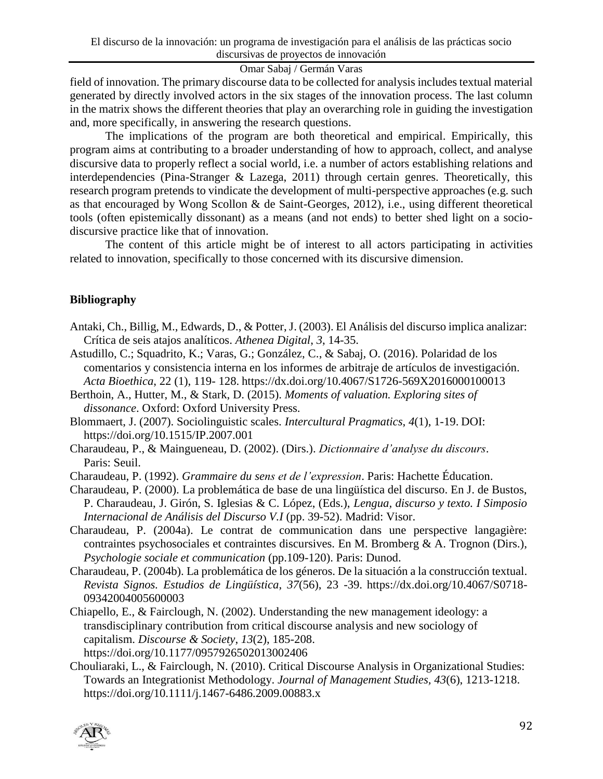field of innovation. The primary discourse data to be collected for analysis includes textual material generated by directly involved actors in the six stages of the innovation process. The last column in the matrix shows the different theories that play an overarching role in guiding the investigation and, more specifically, in answering the research questions.

The implications of the program are both theoretical and empirical. Empirically, this program aims at contributing to a broader understanding of how to approach, collect, and analyse discursive data to properly reflect a social world, i.e. a number of actors establishing relations and interdependencies (Pina-Stranger & Lazega, 2011) through certain genres. Theoretically, this research program pretends to vindicate the development of multi-perspective approaches (e.g. such as that encouraged by Wong Scollon & de Saint-Georges, 2012), i.e., using different theoretical tools (often epistemically dissonant) as a means (and not ends) to better shed light on a sociodiscursive practice like that of innovation.

The content of this article might be of interest to all actors participating in activities related to innovation, specifically to those concerned with its discursive dimension.

# **Bibliography**

- Antaki, Ch., Billig, M., Edwards, D., & Potter, J. (2003). El Análisis del discurso implica analizar: Crítica de seis atajos analíticos. *Athenea Digital*, *3*, 14-35.
- Astudillo, C.; Squadrito, K.; Varas, G.; González, C., & Sabaj, O. (2016). Polaridad de los comentarios y consistencia interna en los informes de arbitraje de artículos de investigación. *Acta Bioethica*, 22 (1), 119- 128. https://dx.doi.org/10.4067/S1726-569X2016000100013
- Berthoin, A., Hutter, M., & Stark, D. (2015). *Moments of valuation. Exploring sites of dissonance*. Oxford: Oxford University Press.
- Blommaert, J. (2007). Sociolinguistic scales. *Intercultural Pragmatics*, *4*(1), 1-19. DOI: https://doi.org/10.1515/IP.2007.001
- Charaudeau, P., & Maingueneau, D. (2002). (Dirs.). *Dictionnaire d'analyse du discours*. Paris: Seuil.
- Charaudeau, P. (1992). *Grammaire du sens et de l'expression*. Paris: Hachette Éducation.
- Charaudeau, P. (2000). La problemática de base de una lingüística del discurso. En J. de Bustos, P. Charaudeau, J. Girón, S. Iglesias & C. López, (Eds.), *Lengua, discurso y texto. I Simposio Internacional de Análisis del Discurso V.I* (pp. 39-52). Madrid: Visor.
- Charaudeau, P. (2004a). Le contrat de communication dans une perspective langagière: contraintes psychosociales et contraintes discursives. En M. Bromberg & A. Trognon (Dirs.), *Psychologie sociale et communication* (pp.109-120). Paris: Dunod.
- Charaudeau, P. (2004b). La problemática de los géneros. De la situación a la construcción textual. *Revista Signos. Estudios de Lingüística*, *37*(56), 23 -39. https://dx.doi.org/10.4067/S0718- 09342004005600003
- Chiapello, E., & Fairclough, N. (2002). Understanding the new management ideology: a transdisciplinary contribution from critical discourse analysis and new sociology of capitalism. *Discourse & Society*, *13*(2), 185-208. https://doi.org/10.1177/0957926502013002406
- Chouliaraki, L., & Fairclough, N. (2010). Critical Discourse Analysis in Organizational Studies: Towards an Integrationist Methodology. *Journal of Management Studies, 43*(6), 1213-1218. https://doi.org/10.1111/j.1467-6486.2009.00883.x

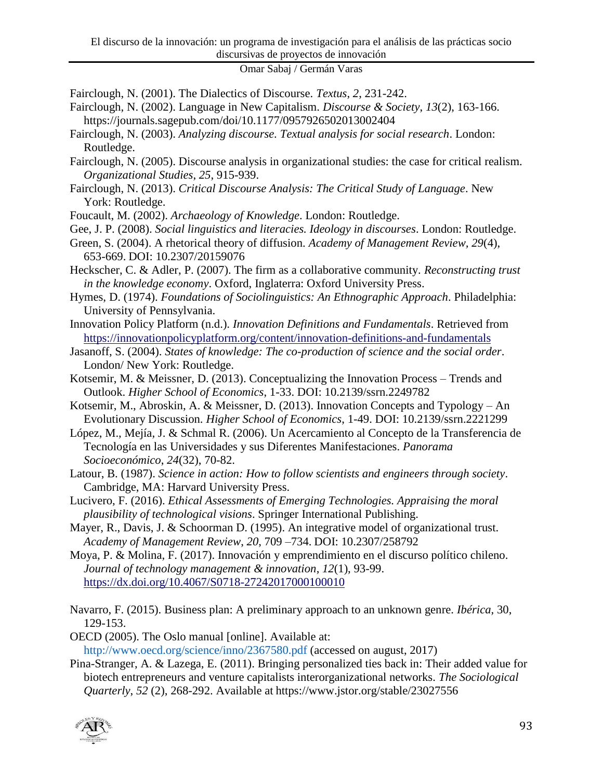Fairclough, N. (2001). The Dialectics of Discourse. *Textus*, *2*, 231-242.

- Fairclough, N. (2002). Language in New Capitalism. *Discourse & Society*, *13*(2), 163-166. https://journals.sagepub.com/doi/10.1177/0957926502013002404
- Fairclough, N. (2003). *Analyzing discourse. Textual analysis for social research*. London: Routledge.
- Fairclough, N. (2005). Discourse analysis in organizational studies: the case for critical realism. *Organizational Studies*, *25*, 915-939.
- Fairclough, N. (2013). *Critical Discourse Analysis: The Critical Study of Language*. New York: Routledge.
- Foucault, M. (2002). *Archaeology of Knowledge*. London: Routledge.
- Gee, J. P. (2008). *Social linguistics and literacies. Ideology in discourses*. London: Routledge.
- Green, S. (2004). A rhetorical theory of diffusion. *Academy of Management Review, 29*(4), 653-669. DOI: 10.2307/20159076
- Heckscher, C. & Adler, P. (2007). The firm as a collaborative community. *Reconstructing trust in the knowledge economy*. Oxford, Inglaterra: Oxford University Press.
- Hymes, D. (1974). *Foundations of Sociolinguistics: An Ethnographic Approach*. Philadelphia: University of Pennsylvania.
- Innovation Policy Platform (n.d.). *Innovation Definitions and Fundamentals*. Retrieved from <https://innovationpolicyplatform.org/content/innovation-definitions-and-fundamentals>
- Jasanoff, S. (2004). *States of knowledge: The co-production of science and the social order*. London/ New York: Routledge.
- Kotsemir, M. & Meissner, D. (2013). Conceptualizing the Innovation Process Trends and Outlook. *Higher School of Economics*, 1-33. DOI: 10.2139/ssrn.2249782
- Kotsemir, M., Abroskin, A. & Meissner, D. (2013). Innovation Concepts and Typology An Evolutionary Discussion. *Higher School of Economics*, 1-49. DOI: 10.2139/ssrn.2221299
- López, M., Mejía, J. & Schmal R. (2006). Un Acercamiento al Concepto de la Transferencia de Tecnología en las Universidades y sus Diferentes Manifestaciones. *Panorama Socioeconómico*, *24*(32), 70-82.
- Latour, B. (1987). *Science in action: How to follow scientists and engineers through society*. Cambridge, MA: Harvard University Press.
- Lucivero, F. (2016). *Ethical Assessments of Emerging Technologies. Appraising the moral plausibility of technological visions*. Springer International Publishing.
- Mayer, R., Davis, J. & Schoorman D. (1995). An integrative model of organizational trust. *Academy of Management Review*, *20*, 709 –734. DOI: 10.2307/258792
- Moya, P. & Molina, F. (2017). Innovación y emprendimiento en el discurso político chileno. *Journal of technology management & innovation*, *12*(1), 93-99. <https://dx.doi.org/10.4067/S0718-27242017000100010>
- Navarro, F. (2015). Business plan: A preliminary approach to an unknown genre. *Ibérica*, 30, 129-153.

OECD (2005). The Oslo manual [online]. Available at:

<http://www.oecd.org/science/inno/2367580.pdf> (accessed on august, 2017)

Pina-Stranger, A. & Lazega, E. (2011). Bringing personalized ties back in: Their added value for biotech entrepreneurs and venture capitalists interorganizational networks. *The Sociological Quarterly*, *52* (2), 268-292. Available at https://www.jstor.org/stable/23027556